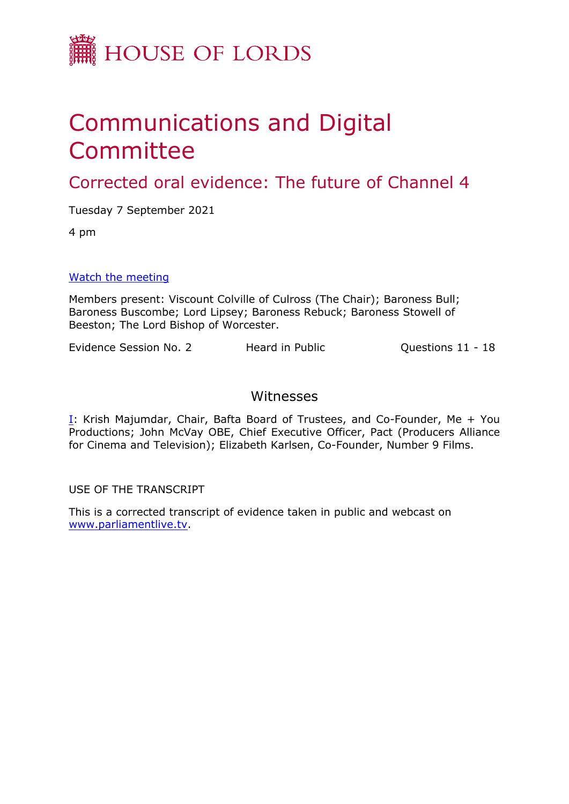

## Communications and Digital Committee

Corrected oral evidence: The future of Channel 4

Tuesday 7 September 2021

4 pm

[Watch](https://parliamentlive.tv/event/index/39ebcb5b-66c6-4efd-8085-e27b36847086) [the](https://parliamentlive.tv/event/index/39ebcb5b-66c6-4efd-8085-e27b36847086) [meeting](https://parliamentlive.tv/event/index/39ebcb5b-66c6-4efd-8085-e27b36847086)

Members present: Viscount Colville of Culross (The Chair); Baroness Bull; Baroness Buscombe; Lord Lipsey; Baroness Rebuck; Baroness Stowell of Beeston; The Lord Bishop of Worcester.

Evidence Session No. 2 Heard in Public Cuestions 11 - 18

## Witnesses

[I:](#page-1-0) Krish Majumdar, Chair, Bafta Board of Trustees, and Co-Founder, Me + You Productions; John McVay OBE, Chief Executive Officer, Pact (Producers Alliance for Cinema and Television); Elizabeth Karlsen, Co-Founder, Number 9 Films.

USE OF THE TRANSCRIPT

This is a corrected transcript of evidence taken in public and webcast on [www.parliamentlive.tv](http://www.parliamentlive.tv/).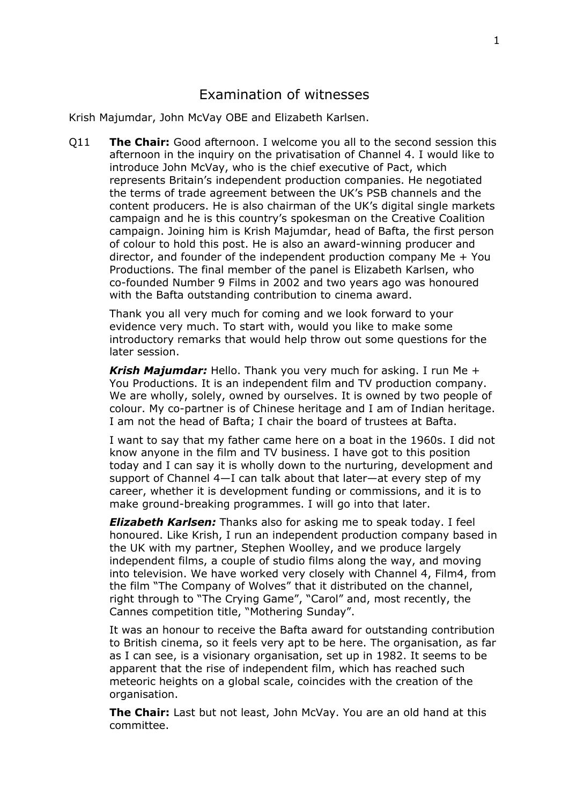## <span id="page-1-0"></span>Examination of witnesses

Krish Majumdar, John McVay OBE and Elizabeth Karlsen.

Q11 **The Chair:** Good afternoon. I welcome you all to the second session this afternoon in the inquiry on the privatisation of Channel 4. I would like to introduce John McVay, who is the chief executive of Pact, which represents Britain's independent production companies. He negotiated the terms of trade agreement between the UK's PSB channels and the content producers. He is also chairman of the UK's digital single markets campaign and he is this country's spokesman on the Creative Coalition campaign. Joining him is Krish Majumdar, head of Bafta, the first person of colour to hold this post. He is also an award-winning producer and director, and founder of the independent production company Me + You Productions. The final member of the panel is Elizabeth Karlsen, who co-founded Number 9 Films in 2002 and two years ago was honoured with the Bafta outstanding contribution to cinema award.

Thank you all very much for coming and we look forward to your evidence very much. To start with, would you like to make some introductory remarks that would help throw out some questions for the later session.

*Krish Majumdar:* Hello. Thank you very much for asking. I run Me + You Productions. It is an independent film and TV production company. We are wholly, solely, owned by ourselves. It is owned by two people of colour. My co-partner is of Chinese heritage and I am of Indian heritage. I am not the head of Bafta; I chair the board of trustees at Bafta.

I want to say that my father came here on a boat in the 1960s. I did not know anyone in the film and TV business. I have got to this position today and I can say it is wholly down to the nurturing, development and support of Channel 4—I can talk about that later—at every step of my career, whether it is development funding or commissions, and it is to make ground-breaking programmes. I will go into that later.

*Elizabeth Karlsen:* Thanks also for asking me to speak today. I feel honoured. Like Krish, I run an independent production company based in the UK with my partner, Stephen Woolley, and we produce largely independent films, a couple of studio films along the way, and moving into television. We have worked very closely with Channel 4, Film4, from the film "The Company of Wolves" that it distributed on the channel, right through to "The Crying Game", "Carol" and, most recently, the Cannes competition title, "Mothering Sunday".

It was an honour to receive the Bafta award for outstanding contribution to British cinema, so it feels very apt to be here. The organisation, as far as I can see, is a visionary organisation, set up in 1982. It seems to be apparent that the rise of independent film, which has reached such meteoric heights on a global scale, coincides with the creation of the organisation.

**The Chair:** Last but not least, John McVay. You are an old hand at this committee.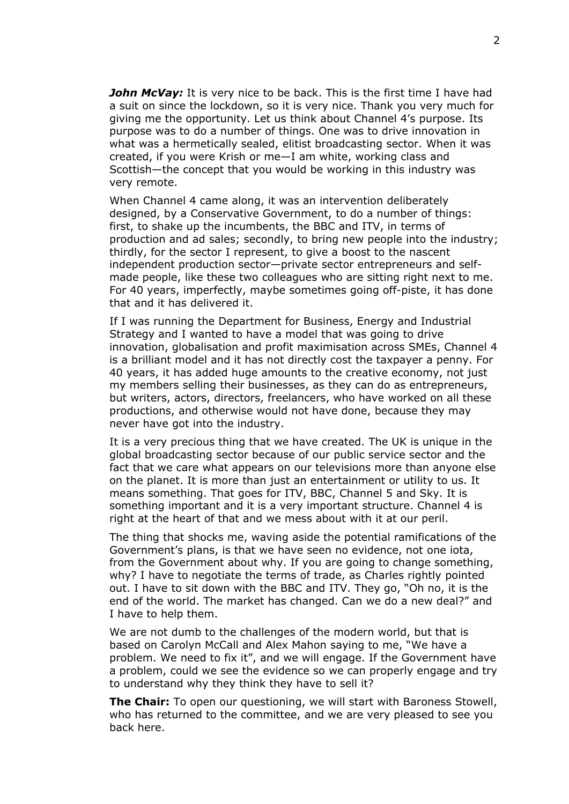*John McVay:* It is very nice to be back. This is the first time I have had a suit on since the lockdown, so it is very nice. Thank you very much for giving me the opportunity. Let us think about Channel 4's purpose. Its purpose was to do a number of things. One was to drive innovation in what was a hermetically sealed, elitist broadcasting sector. When it was created, if you were Krish or me—I am white, working class and Scottish—the concept that you would be working in this industry was very remote.

When Channel 4 came along, it was an intervention deliberately designed, by a Conservative Government, to do a number of things: first, to shake up the incumbents, the BBC and ITV, in terms of production and ad sales; secondly, to bring new people into the industry; thirdly, for the sector I represent, to give a boost to the nascent independent production sector—private sector entrepreneurs and selfmade people, like these two colleagues who are sitting right next to me. For 40 years, imperfectly, maybe sometimes going off-piste, it has done that and it has delivered it.

If I was running the Department for Business, Energy and Industrial Strategy and I wanted to have a model that was going to drive innovation, globalisation and profit maximisation across SMEs, Channel 4 is a brilliant model and it has not directly cost the taxpayer a penny. For 40 years, it has added huge amounts to the creative economy, not just my members selling their businesses, as they can do as entrepreneurs, but writers, actors, directors, freelancers, who have worked on all these productions, and otherwise would not have done, because they may never have got into the industry.

It is a very precious thing that we have created. The UK is unique in the global broadcasting sector because of our public service sector and the fact that we care what appears on our televisions more than anyone else on the planet. It is more than just an entertainment or utility to us. It means something. That goes for ITV, BBC, Channel 5 and Sky. It is something important and it is a very important structure. Channel 4 is right at the heart of that and we mess about with it at our peril.

The thing that shocks me, waving aside the potential ramifications of the Government's plans, is that we have seen no evidence, not one iota, from the Government about why. If you are going to change something, why? I have to negotiate the terms of trade, as Charles rightly pointed out. I have to sit down with the BBC and ITV. They go, "Oh no, it is the end of the world. The market has changed. Can we do a new deal?" and I have to help them.

We are not dumb to the challenges of the modern world, but that is based on Carolyn McCall and Alex Mahon saying to me, "We have a problem. We need to fix it", and we will engage. If the Government have a problem, could we see the evidence so we can properly engage and try to understand why they think they have to sell it?

**The Chair:** To open our questioning, we will start with Baroness Stowell, who has returned to the committee, and we are very pleased to see you back here.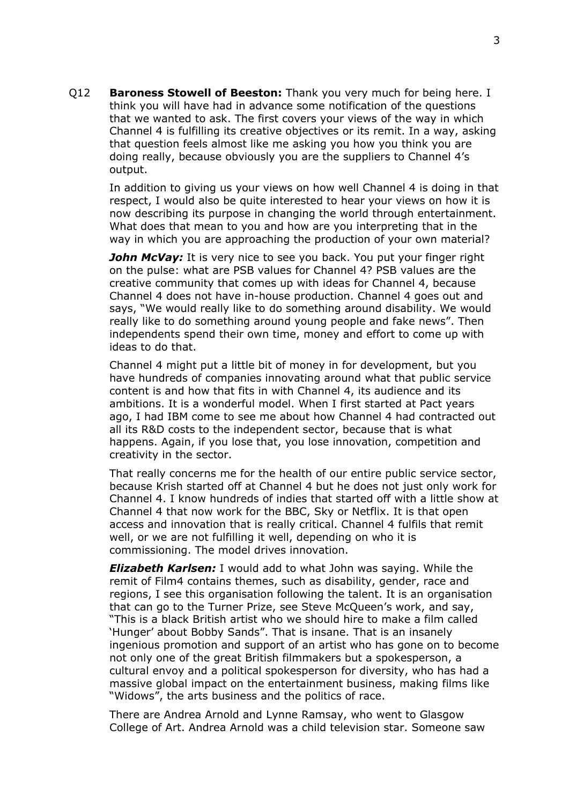Q12 **Baroness Stowell of Beeston:** Thank you very much for being here. I think you will have had in advance some notification of the questions that we wanted to ask. The first covers your views of the way in which Channel 4 is fulfilling its creative objectives or its remit. In a way, asking that question feels almost like me asking you how you think you are doing really, because obviously you are the suppliers to Channel 4's output.

In addition to giving us your views on how well Channel 4 is doing in that respect, I would also be quite interested to hear your views on how it is now describing its purpose in changing the world through entertainment. What does that mean to you and how are you interpreting that in the way in which you are approaching the production of your own material?

**John McVay:** It is very nice to see you back. You put your finger right on the pulse: what are PSB values for Channel 4? PSB values are the creative community that comes up with ideas for Channel 4, because Channel 4 does not have in-house production. Channel 4 goes out and says, "We would really like to do something around disability. We would really like to do something around young people and fake news". Then independents spend their own time, money and effort to come up with ideas to do that.

Channel 4 might put a little bit of money in for development, but you have hundreds of companies innovating around what that public service content is and how that fits in with Channel 4, its audience and its ambitions. It is a wonderful model. When I first started at Pact years ago, I had IBM come to see me about how Channel 4 had contracted out all its R&D costs to the independent sector, because that is what happens. Again, if you lose that, you lose innovation, competition and creativity in the sector.

That really concerns me for the health of our entire public service sector, because Krish started off at Channel 4 but he does not just only work for Channel 4. I know hundreds of indies that started off with a little show at Channel 4 that now work for the BBC, Sky or Netflix. It is that open access and innovation that is really critical. Channel 4 fulfils that remit well, or we are not fulfilling it well, depending on who it is commissioning. The model drives innovation.

*Elizabeth Karlsen:* I would add to what John was saying. While the remit of Film4 contains themes, such as disability, gender, race and regions, I see this organisation following the talent. It is an organisation that can go to the Turner Prize, see Steve McQueen's work, and say, "This is a black British artist who we should hire to make a film called 'Hunger' about Bobby Sands". That is insane. That is an insanely ingenious promotion and support of an artist who has gone on to become not only one of the great British filmmakers but a spokesperson, a cultural envoy and a political spokesperson for diversity, who has had a massive global impact on the entertainment business, making films like "Widows", the arts business and the politics of race.

There are Andrea Arnold and Lynne Ramsay, who went to Glasgow College of Art. Andrea Arnold was a child television star. Someone saw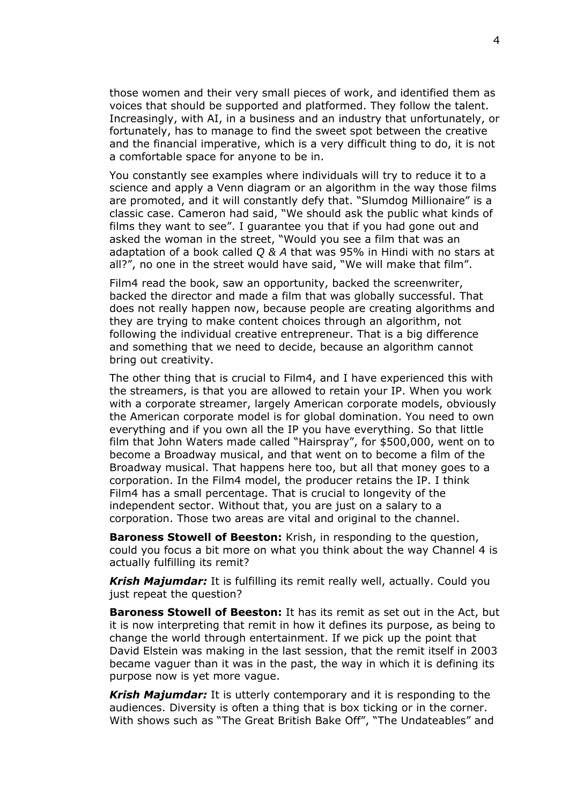those women and their very small pieces of work, and identified them as voices that should be supported and platformed. They follow the talent. Increasingly, with AI, in a business and an industry that unfortunately, or fortunately, has to manage to find the sweet spot between the creative and the financial imperative, which is a very difficult thing to do, it is not a comfortable space for anyone to be in.

You constantly see examples where individuals will try to reduce it to a science and apply a Venn diagram or an algorithm in the way those films are promoted, and it will constantly defy that. "Slumdog Millionaire" is a classic case. Cameron had said, "We should ask the public what kinds of films they want to see". I guarantee you that if you had gone out and asked the woman in the street, "Would you see a film that was an adaptation of a book called *Q & A* that was 95% in Hindi with no stars at all?", no one in the street would have said, "We will make that film".

Film4 read the book, saw an opportunity, backed the screenwriter, backed the director and made a film that was globally successful. That does not really happen now, because people are creating algorithms and they are trying to make content choices through an algorithm, not following the individual creative entrepreneur. That is a big difference and something that we need to decide, because an algorithm cannot bring out creativity.

The other thing that is crucial to Film4, and I have experienced this with the streamers, is that you are allowed to retain your IP. When you work with a corporate streamer, largely American corporate models, obviously the American corporate model is for global domination. You need to own everything and if you own all the IP you have everything. So that little film that John Waters made called "Hairspray", for \$500,000, went on to become a Broadway musical, and that went on to become a film of the Broadway musical. That happens here too, but all that money goes to a corporation. In the Film4 model, the producer retains the IP. I think Film4 has a small percentage. That is crucial to longevity of the independent sector. Without that, you are just on a salary to a corporation. Those two areas are vital and original to the channel.

**Baroness Stowell of Beeston:** Krish, in responding to the question, could you focus a bit more on what you think about the way Channel 4 is actually fulfilling its remit?

*Krish Majumdar:* It is fulfilling its remit really well, actually. Could you just repeat the question?

**Baroness Stowell of Beeston:** It has its remit as set out in the Act, but it is now interpreting that remit in how it defines its purpose, as being to change the world through entertainment. If we pick up the point that David Elstein was making in the last session, that the remit itself in 2003 became vaguer than it was in the past, the way in which it is defining its purpose now is yet more vague.

*Krish Majumdar:* It is utterly contemporary and it is responding to the audiences. Diversity is often a thing that is box ticking or in the corner. With shows such as "The Great British Bake Off", "The Undateables" and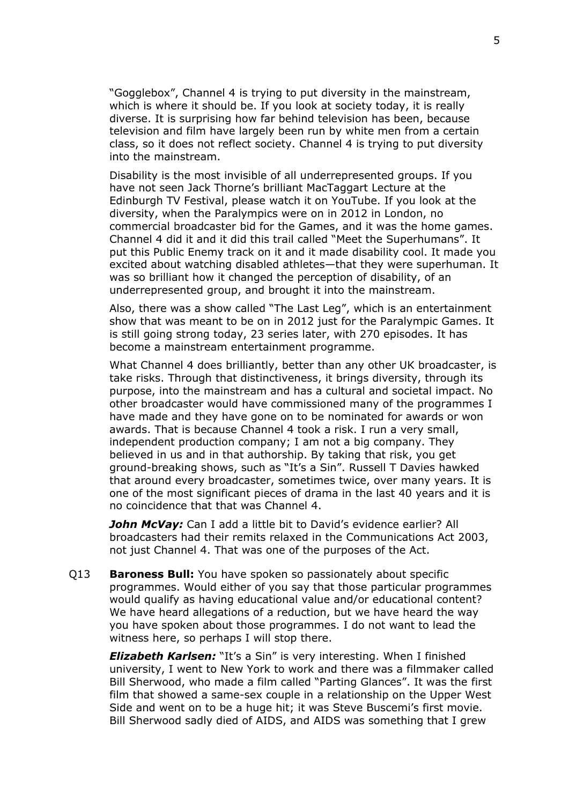"Gogglebox", Channel 4 is trying to put diversity in the mainstream, which is where it should be. If you look at society today, it is really diverse. It is surprising how far behind television has been, because television and film have largely been run by white men from a certain class, so it does not reflect society. Channel 4 is trying to put diversity into the mainstream.

Disability is the most invisible of all underrepresented groups. If you have not seen Jack Thorne's brilliant MacTaggart Lecture at the Edinburgh TV Festival, please watch it on YouTube. If you look at the diversity, when the Paralympics were on in 2012 in London, no commercial broadcaster bid for the Games, and it was the home games. Channel 4 did it and it did this trail called "Meet the Superhumans". It put this Public Enemy track on it and it made disability cool. It made you excited about watching disabled athletes—that they were superhuman. It was so brilliant how it changed the perception of disability, of an underrepresented group, and brought it into the mainstream.

Also, there was a show called "The Last Leg", which is an entertainment show that was meant to be on in 2012 just for the Paralympic Games. It is still going strong today, 23 series later, with 270 episodes. It has become a mainstream entertainment programme.

What Channel 4 does brilliantly, better than any other UK broadcaster, is take risks. Through that distinctiveness, it brings diversity, through its purpose, into the mainstream and has a cultural and societal impact. No other broadcaster would have commissioned many of the programmes I have made and they have gone on to be nominated for awards or won awards. That is because Channel 4 took a risk. I run a very small, independent production company; I am not a big company. They believed in us and in that authorship. By taking that risk, you get ground-breaking shows, such as "It's a Sin". Russell T Davies hawked that around every broadcaster, sometimes twice, over many years. It is one of the most significant pieces of drama in the last 40 years and it is no coincidence that that was Channel 4.

*John McVay:* Can I add a little bit to David's evidence earlier? All broadcasters had their remits relaxed in the Communications Act 2003, not just Channel 4. That was one of the purposes of the Act.

Q13 **Baroness Bull:** You have spoken so passionately about specific programmes. Would either of you say that those particular programmes would qualify as having educational value and/or educational content? We have heard allegations of a reduction, but we have heard the way you have spoken about those programmes. I do not want to lead the witness here, so perhaps I will stop there.

*Elizabeth Karlsen:* "It's a Sin" is very interesting. When I finished university, I went to New York to work and there was a filmmaker called Bill Sherwood, who made a film called "Parting Glances". It was the first film that showed a same-sex couple in a relationship on the Upper West Side and went on to be a huge hit; it was Steve Buscemi's first movie. Bill Sherwood sadly died of AIDS, and AIDS was something that I grew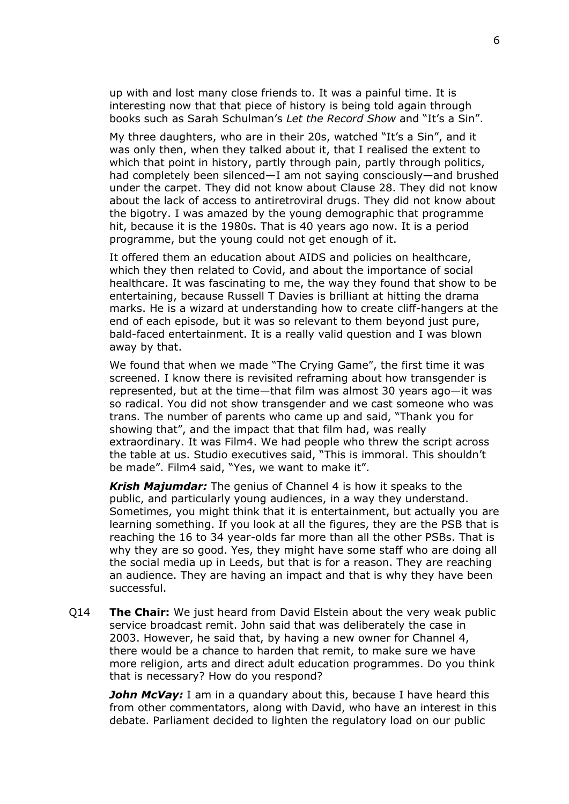up with and lost many close friends to. It was a painful time. It is interesting now that that piece of history is being told again through books such as Sarah Schulman's *Let the Record Show* and "It's a Sin".

My three daughters, who are in their 20s, watched "It's a Sin", and it was only then, when they talked about it, that I realised the extent to which that point in history, partly through pain, partly through politics, had completely been silenced—I am not saying consciously—and brushed under the carpet. They did not know about Clause 28. They did not know about the lack of access to antiretroviral drugs. They did not know about the bigotry. I was amazed by the young demographic that programme hit, because it is the 1980s. That is 40 years ago now. It is a period programme, but the young could not get enough of it.

It offered them an education about AIDS and policies on healthcare, which they then related to Covid, and about the importance of social healthcare. It was fascinating to me, the way they found that show to be entertaining, because Russell T Davies is brilliant at hitting the drama marks. He is a wizard at understanding how to create cliff-hangers at the end of each episode, but it was so relevant to them beyond just pure, bald-faced entertainment. It is a really valid question and I was blown away by that.

We found that when we made "The Crying Game", the first time it was screened. I know there is revisited reframing about how transgender is represented, but at the time—that film was almost 30 years ago—it was so radical. You did not show transgender and we cast someone who was trans. The number of parents who came up and said, "Thank you for showing that", and the impact that that film had, was really extraordinary. It was Film4. We had people who threw the script across the table at us. Studio executives said, "This is immoral. This shouldn't be made". Film4 said, "Yes, we want to make it".

*Krish Majumdar:* The genius of Channel 4 is how it speaks to the public, and particularly young audiences, in a way they understand. Sometimes, you might think that it is entertainment, but actually you are learning something. If you look at all the figures, they are the PSB that is reaching the 16 to 34 year-olds far more than all the other PSBs. That is why they are so good. Yes, they might have some staff who are doing all the social media up in Leeds, but that is for a reason. They are reaching an audience. They are having an impact and that is why they have been successful.

Q14 **The Chair:** We just heard from David Elstein about the very weak public service broadcast remit. John said that was deliberately the case in 2003. However, he said that, by having a new owner for Channel 4, there would be a chance to harden that remit, to make sure we have more religion, arts and direct adult education programmes. Do you think that is necessary? How do you respond?

*John McVay:* I am in a quandary about this, because I have heard this from other commentators, along with David, who have an interest in this debate. Parliament decided to lighten the regulatory load on our public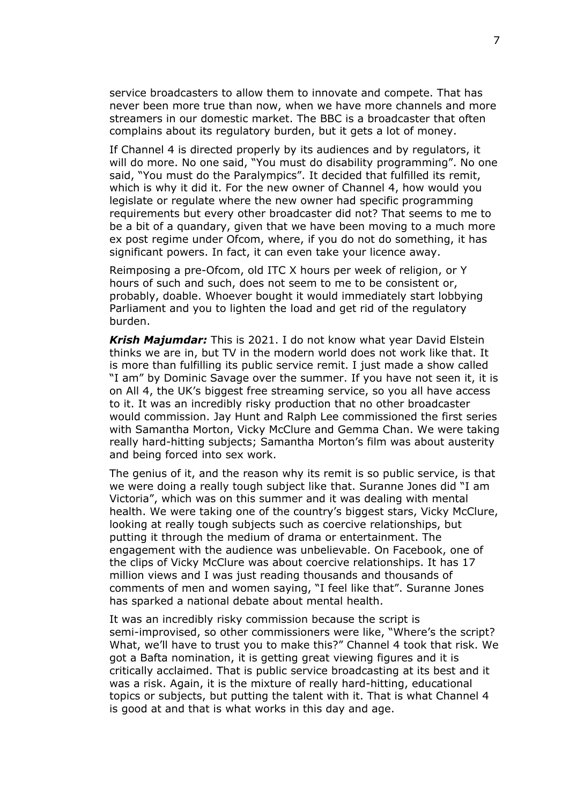service broadcasters to allow them to innovate and compete. That has never been more true than now, when we have more channels and more streamers in our domestic market. The BBC is a broadcaster that often complains about its regulatory burden, but it gets a lot of money.

If Channel 4 is directed properly by its audiences and by regulators, it will do more. No one said, "You must do disability programming". No one said, "You must do the Paralympics". It decided that fulfilled its remit, which is why it did it. For the new owner of Channel 4, how would you legislate or regulate where the new owner had specific programming requirements but every other broadcaster did not? That seems to me to be a bit of a quandary, given that we have been moving to a much more ex post regime under Ofcom, where, if you do not do something, it has significant powers. In fact, it can even take your licence away.

Reimposing a pre-Ofcom, old ITC X hours per week of religion, or Y hours of such and such, does not seem to me to be consistent or, probably, doable. Whoever bought it would immediately start lobbying Parliament and you to lighten the load and get rid of the regulatory burden.

*Krish Majumdar:* This is 2021. I do not know what year David Elstein thinks we are in, but TV in the modern world does not work like that. It is more than fulfilling its public service remit. I just made a show called "I am" by Dominic Savage over the summer. If you have not seen it, it is on All 4, the UK's biggest free streaming service, so you all have access to it. It was an incredibly risky production that no other broadcaster would commission. Jay Hunt and Ralph Lee commissioned the first series with Samantha Morton, Vicky McClure and Gemma Chan. We were taking really hard-hitting subjects; Samantha Morton's film was about austerity and being forced into sex work.

The genius of it, and the reason why its remit is so public service, is that we were doing a really tough subject like that. Suranne Jones did "I am Victoria", which was on this summer and it was dealing with mental health. We were taking one of the country's biggest stars, Vicky McClure, looking at really tough subjects such as coercive relationships, but putting it through the medium of drama or entertainment. The engagement with the audience was unbelievable. On Facebook, one of the clips of Vicky McClure was about coercive relationships. It has 17 million views and I was just reading thousands and thousands of comments of men and women saying, "I feel like that". Suranne Jones has sparked a national debate about mental health.

It was an incredibly risky commission because the script is semi-improvised, so other commissioners were like, "Where's the script? What, we'll have to trust you to make this?" Channel 4 took that risk. We got a Bafta nomination, it is getting great viewing figures and it is critically acclaimed. That is public service broadcasting at its best and it was a risk. Again, it is the mixture of really hard-hitting, educational topics or subjects, but putting the talent with it. That is what Channel 4 is good at and that is what works in this day and age.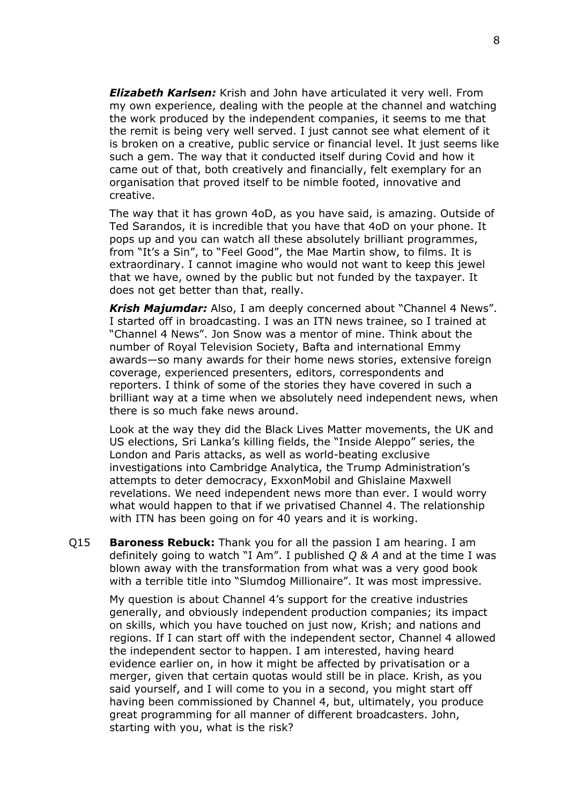*Elizabeth Karlsen:* Krish and John have articulated it very well. From my own experience, dealing with the people at the channel and watching the work produced by the independent companies, it seems to me that the remit is being very well served. I just cannot see what element of it is broken on a creative, public service or financial level. It just seems like such a gem. The way that it conducted itself during Covid and how it came out of that, both creatively and financially, felt exemplary for an organisation that proved itself to be nimble footed, innovative and creative.

The way that it has grown 4oD, as you have said, is amazing. Outside of Ted Sarandos, it is incredible that you have that 4oD on your phone. It pops up and you can watch all these absolutely brilliant programmes, from "It's a Sin", to "Feel Good", the Mae Martin show, to films. It is extraordinary. I cannot imagine who would not want to keep this jewel that we have, owned by the public but not funded by the taxpayer. It does not get better than that, really.

*Krish Majumdar:* Also, I am deeply concerned about "Channel 4 News". I started off in broadcasting. I was an ITN news trainee, so I trained at "Channel 4 News". Jon Snow was a mentor of mine. Think about the number of Royal Television Society, Bafta and international Emmy awards—so many awards for their home news stories, extensive foreign coverage, experienced presenters, editors, correspondents and reporters. I think of some of the stories they have covered in such a brilliant way at a time when we absolutely need independent news, when there is so much fake news around.

Look at the way they did the Black Lives Matter movements, the UK and US elections, Sri Lanka's killing fields, the "Inside Aleppo" series, the London and Paris attacks, as well as world-beating exclusive investigations into Cambridge Analytica, the Trump Administration's attempts to deter democracy, ExxonMobil and Ghislaine Maxwell revelations. We need independent news more than ever. I would worry what would happen to that if we privatised Channel 4. The relationship with ITN has been going on for 40 years and it is working.

Q15 **Baroness Rebuck:** Thank you for all the passion I am hearing. I am definitely going to watch "I Am". I published *Q & A* and at the time I was blown away with the transformation from what was a very good book with a terrible title into "Slumdog Millionaire". It was most impressive.

My question is about Channel 4's support for the creative industries generally, and obviously independent production companies; its impact on skills, which you have touched on just now, Krish; and nations and regions. If I can start off with the independent sector, Channel 4 allowed the independent sector to happen. I am interested, having heard evidence earlier on, in how it might be affected by privatisation or a merger, given that certain quotas would still be in place. Krish, as you said yourself, and I will come to you in a second, you might start off having been commissioned by Channel 4, but, ultimately, you produce great programming for all manner of different broadcasters. John, starting with you, what is the risk?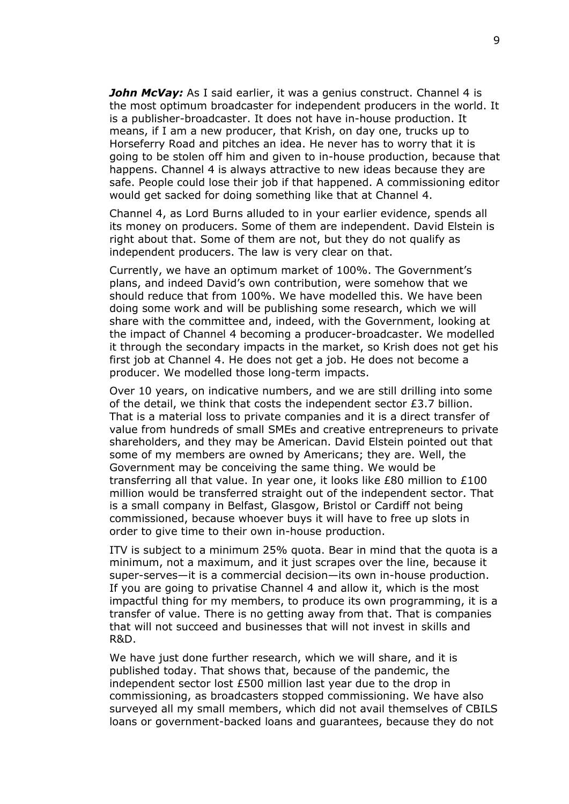*John McVay:* As I said earlier, it was a genius construct. Channel 4 is the most optimum broadcaster for independent producers in the world. It is a publisher-broadcaster. It does not have in-house production. It means, if I am a new producer, that Krish, on day one, trucks up to Horseferry Road and pitches an idea. He never has to worry that it is going to be stolen off him and given to in-house production, because that happens. Channel 4 is always attractive to new ideas because they are safe. People could lose their job if that happened. A commissioning editor would get sacked for doing something like that at Channel 4.

Channel 4, as Lord Burns alluded to in your earlier evidence, spends all its money on producers. Some of them are independent. David Elstein is right about that. Some of them are not, but they do not qualify as independent producers. The law is very clear on that.

Currently, we have an optimum market of 100%. The Government's plans, and indeed David's own contribution, were somehow that we should reduce that from 100%. We have modelled this. We have been doing some work and will be publishing some research, which we will share with the committee and, indeed, with the Government, looking at the impact of Channel 4 becoming a producer-broadcaster. We modelled it through the secondary impacts in the market, so Krish does not get his first job at Channel 4. He does not get a job. He does not become a producer. We modelled those long-term impacts.

Over 10 years, on indicative numbers, and we are still drilling into some of the detail, we think that costs the independent sector £3.7 billion. That is a material loss to private companies and it is a direct transfer of value from hundreds of small SMEs and creative entrepreneurs to private shareholders, and they may be American. David Elstein pointed out that some of my members are owned by Americans; they are. Well, the Government may be conceiving the same thing. We would be transferring all that value. In year one, it looks like £80 million to £100 million would be transferred straight out of the independent sector. That is a small company in Belfast, Glasgow, Bristol or Cardiff not being commissioned, because whoever buys it will have to free up slots in order to give time to their own in-house production.

ITV is subject to a minimum 25% quota. Bear in mind that the quota is a minimum, not a maximum, and it just scrapes over the line, because it super-serves—it is a commercial decision—its own in-house production. If you are going to privatise Channel 4 and allow it, which is the most impactful thing for my members, to produce its own programming, it is a transfer of value. There is no getting away from that. That is companies that will not succeed and businesses that will not invest in skills and R&D.

We have just done further research, which we will share, and it is published today. That shows that, because of the pandemic, the independent sector lost £500 million last year due to the drop in commissioning, as broadcasters stopped commissioning. We have also surveyed all my small members, which did not avail themselves of CBILS loans or government-backed loans and guarantees, because they do not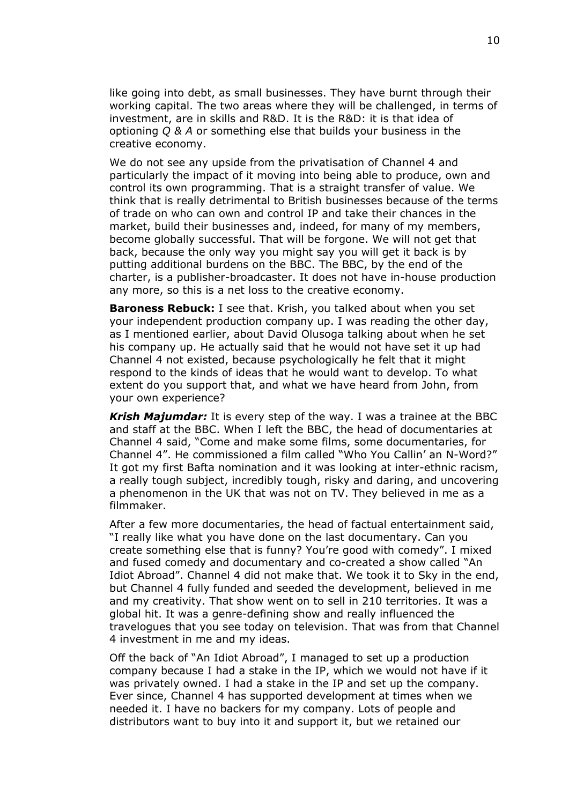like going into debt, as small businesses. They have burnt through their working capital. The two areas where they will be challenged, in terms of investment, are in skills and R&D. It is the R&D: it is that idea of optioning *Q & A* or something else that builds your business in the creative economy.

We do not see any upside from the privatisation of Channel 4 and particularly the impact of it moving into being able to produce, own and control its own programming. That is a straight transfer of value. We think that is really detrimental to British businesses because of the terms of trade on who can own and control IP and take their chances in the market, build their businesses and, indeed, for many of my members, become globally successful. That will be forgone. We will not get that back, because the only way you might say you will get it back is by putting additional burdens on the BBC. The BBC, by the end of the charter, is a publisher-broadcaster. It does not have in-house production any more, so this is a net loss to the creative economy.

**Baroness Rebuck:** I see that. Krish, you talked about when you set your independent production company up. I was reading the other day, as I mentioned earlier, about David Olusoga talking about when he set his company up. He actually said that he would not have set it up had Channel 4 not existed, because psychologically he felt that it might respond to the kinds of ideas that he would want to develop. To what extent do you support that, and what we have heard from John, from your own experience?

*Krish Majumdar:* It is every step of the way. I was a trainee at the BBC and staff at the BBC. When I left the BBC, the head of documentaries at Channel 4 said, "Come and make some films, some documentaries, for Channel 4". He commissioned a film called "Who You Callin' an N-Word?" It got my first Bafta nomination and it was looking at inter-ethnic racism, a really tough subject, incredibly tough, risky and daring, and uncovering a phenomenon in the UK that was not on TV. They believed in me as a filmmaker.

After a few more documentaries, the head of factual entertainment said, "I really like what you have done on the last documentary. Can you create something else that is funny? You're good with comedy". I mixed and fused comedy and documentary and co-created a show called "An Idiot Abroad". Channel 4 did not make that. We took it to Sky in the end, but Channel 4 fully funded and seeded the development, believed in me and my creativity. That show went on to sell in 210 territories. It was a global hit. It was a genre-defining show and really influenced the travelogues that you see today on television. That was from that Channel 4 investment in me and my ideas.

Off the back of "An Idiot Abroad", I managed to set up a production company because I had a stake in the IP, which we would not have if it was privately owned. I had a stake in the IP and set up the company. Ever since, Channel 4 has supported development at times when we needed it. I have no backers for my company. Lots of people and distributors want to buy into it and support it, but we retained our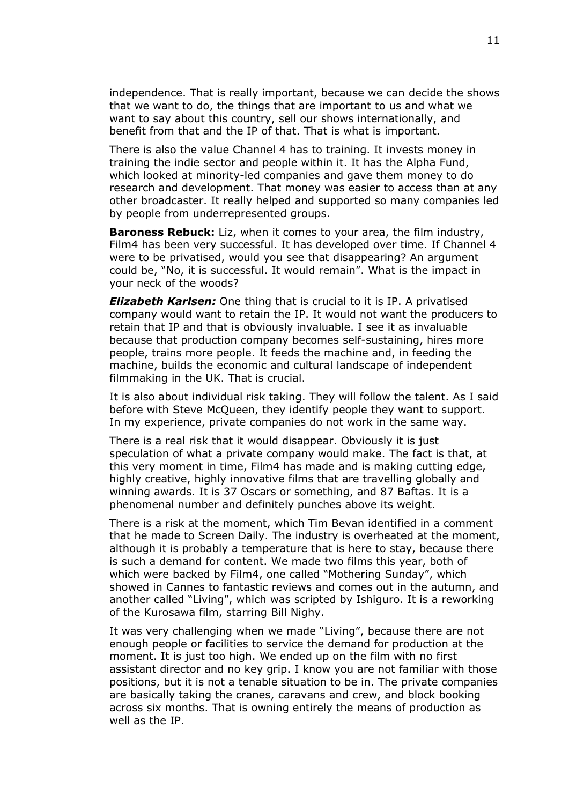independence. That is really important, because we can decide the shows that we want to do, the things that are important to us and what we want to say about this country, sell our shows internationally, and benefit from that and the IP of that. That is what is important.

There is also the value Channel 4 has to training. It invests money in training the indie sector and people within it. It has the Alpha Fund, which looked at minority-led companies and gave them money to do research and development. That money was easier to access than at any other broadcaster. It really helped and supported so many companies led by people from underrepresented groups.

**Baroness Rebuck:** Liz, when it comes to your area, the film industry, Film4 has been very successful. It has developed over time. If Channel 4 were to be privatised, would you see that disappearing? An argument could be, "No, it is successful. It would remain". What is the impact in your neck of the woods?

*Elizabeth Karlsen:* One thing that is crucial to it is IP. A privatised company would want to retain the IP. It would not want the producers to retain that IP and that is obviously invaluable. I see it as invaluable because that production company becomes self-sustaining, hires more people, trains more people. It feeds the machine and, in feeding the machine, builds the economic and cultural landscape of independent filmmaking in the UK. That is crucial.

It is also about individual risk taking. They will follow the talent. As I said before with Steve McQueen, they identify people they want to support. In my experience, private companies do not work in the same way.

There is a real risk that it would disappear. Obviously it is just speculation of what a private company would make. The fact is that, at this very moment in time, Film4 has made and is making cutting edge, highly creative, highly innovative films that are travelling globally and winning awards. It is 37 Oscars or something, and 87 Baftas. It is a phenomenal number and definitely punches above its weight.

There is a risk at the moment, which Tim Bevan identified in a comment that he made to Screen Daily. The industry is overheated at the moment, although it is probably a temperature that is here to stay, because there is such a demand for content. We made two films this year, both of which were backed by Film4, one called "Mothering Sunday", which showed in Cannes to fantastic reviews and comes out in the autumn, and another called "Living", which was scripted by Ishiguro. It is a reworking of the Kurosawa film, starring Bill Nighy.

It was very challenging when we made "Living", because there are not enough people or facilities to service the demand for production at the moment. It is just too high. We ended up on the film with no first assistant director and no key grip. I know you are not familiar with those positions, but it is not a tenable situation to be in. The private companies are basically taking the cranes, caravans and crew, and block booking across six months. That is owning entirely the means of production as well as the IP.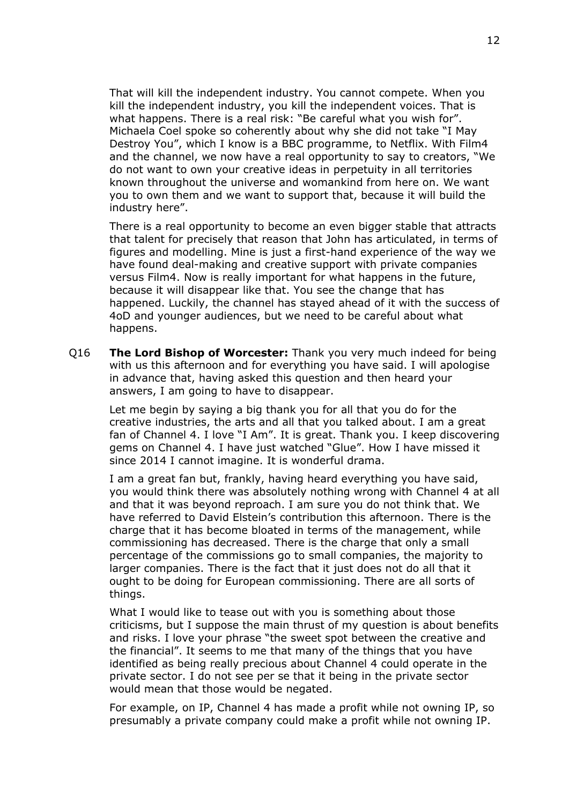That will kill the independent industry. You cannot compete. When you kill the independent industry, you kill the independent voices. That is what happens. There is a real risk: "Be careful what you wish for". Michaela Coel spoke so coherently about why she did not take "I May Destroy You", which I know is a BBC programme, to Netflix. With Film4 and the channel, we now have a real opportunity to say to creators, "We do not want to own your creative ideas in perpetuity in all territories known throughout the universe and womankind from here on. We want you to own them and we want to support that, because it will build the industry here".

There is a real opportunity to become an even bigger stable that attracts that talent for precisely that reason that John has articulated, in terms of figures and modelling. Mine is just a first-hand experience of the way we have found deal-making and creative support with private companies versus Film4. Now is really important for what happens in the future, because it will disappear like that. You see the change that has happened. Luckily, the channel has stayed ahead of it with the success of 4oD and younger audiences, but we need to be careful about what happens.

Q16 **The Lord Bishop of Worcester:** Thank you very much indeed for being with us this afternoon and for everything you have said. I will apologise in advance that, having asked this question and then heard your answers, I am going to have to disappear.

Let me begin by saying a big thank you for all that you do for the creative industries, the arts and all that you talked about. I am a great fan of Channel 4. I love "I Am". It is great. Thank you. I keep discovering gems on Channel 4. I have just watched "Glue". How I have missed it since 2014 I cannot imagine. It is wonderful drama.

I am a great fan but, frankly, having heard everything you have said, you would think there was absolutely nothing wrong with Channel 4 at all and that it was beyond reproach. I am sure you do not think that. We have referred to David Elstein's contribution this afternoon. There is the charge that it has become bloated in terms of the management, while commissioning has decreased. There is the charge that only a small percentage of the commissions go to small companies, the majority to larger companies. There is the fact that it just does not do all that it ought to be doing for European commissioning. There are all sorts of things.

What I would like to tease out with you is something about those criticisms, but I suppose the main thrust of my question is about benefits and risks. I love your phrase "the sweet spot between the creative and the financial". It seems to me that many of the things that you have identified as being really precious about Channel 4 could operate in the private sector. I do not see per se that it being in the private sector would mean that those would be negated.

For example, on IP, Channel 4 has made a profit while not owning IP, so presumably a private company could make a profit while not owning IP.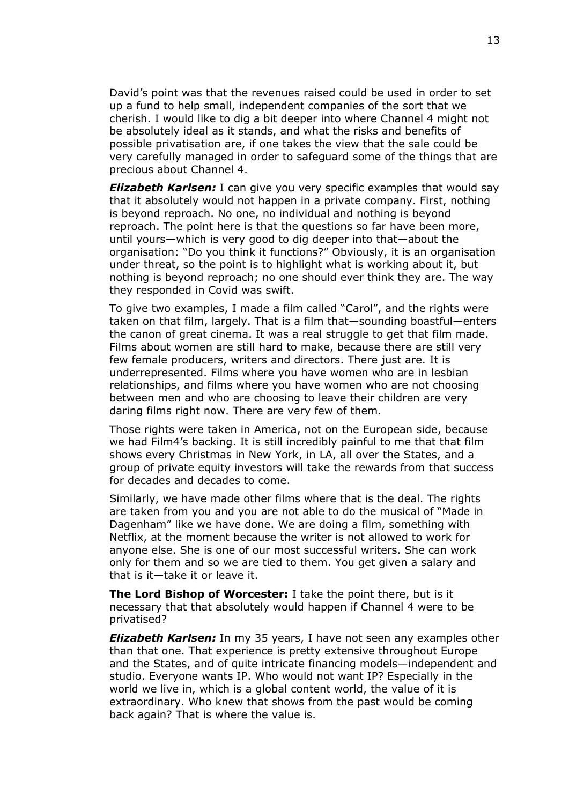David's point was that the revenues raised could be used in order to set up a fund to help small, independent companies of the sort that we cherish. I would like to dig a bit deeper into where Channel 4 might not be absolutely ideal as it stands, and what the risks and benefits of possible privatisation are, if one takes the view that the sale could be very carefully managed in order to safeguard some of the things that are precious about Channel 4.

*Elizabeth Karlsen:* I can give you very specific examples that would say that it absolutely would not happen in a private company. First, nothing is beyond reproach. No one, no individual and nothing is beyond reproach. The point here is that the questions so far have been more, until yours—which is very good to dig deeper into that—about the organisation: "Do you think it functions?" Obviously, it is an organisation under threat, so the point is to highlight what is working about it, but nothing is beyond reproach; no one should ever think they are. The way they responded in Covid was swift.

To give two examples, I made a film called "Carol", and the rights were taken on that film, largely. That is a film that—sounding boastful—enters the canon of great cinema. It was a real struggle to get that film made. Films about women are still hard to make, because there are still very few female producers, writers and directors. There just are. It is underrepresented. Films where you have women who are in lesbian relationships, and films where you have women who are not choosing between men and who are choosing to leave their children are very daring films right now. There are very few of them.

Those rights were taken in America, not on the European side, because we had Film4's backing. It is still incredibly painful to me that that film shows every Christmas in New York, in LA, all over the States, and a group of private equity investors will take the rewards from that success for decades and decades to come.

Similarly, we have made other films where that is the deal. The rights are taken from you and you are not able to do the musical of "Made in Dagenham" like we have done. We are doing a film, something with Netflix, at the moment because the writer is not allowed to work for anyone else. She is one of our most successful writers. She can work only for them and so we are tied to them. You get given a salary and that is it—take it or leave it.

**The Lord Bishop of Worcester:** I take the point there, but is it necessary that that absolutely would happen if Channel 4 were to be privatised?

*Elizabeth Karlsen:* In my 35 years, I have not seen any examples other than that one. That experience is pretty extensive throughout Europe and the States, and of quite intricate financing models—independent and studio. Everyone wants IP. Who would not want IP? Especially in the world we live in, which is a global content world, the value of it is extraordinary. Who knew that shows from the past would be coming back again? That is where the value is.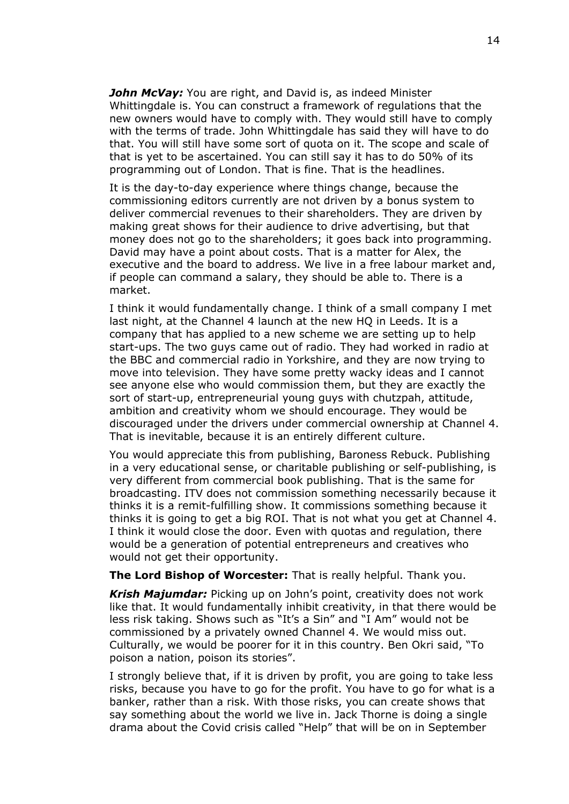*John McVay:* You are right, and David is, as indeed Minister Whittingdale is. You can construct a framework of regulations that the new owners would have to comply with. They would still have to comply with the terms of trade. John Whittingdale has said they will have to do that. You will still have some sort of quota on it. The scope and scale of that is yet to be ascertained. You can still say it has to do 50% of its programming out of London. That is fine. That is the headlines.

It is the day-to-day experience where things change, because the commissioning editors currently are not driven by a bonus system to deliver commercial revenues to their shareholders. They are driven by making great shows for their audience to drive advertising, but that money does not go to the shareholders; it goes back into programming. David may have a point about costs. That is a matter for Alex, the executive and the board to address. We live in a free labour market and, if people can command a salary, they should be able to. There is a market.

I think it would fundamentally change. I think of a small company I met last night, at the Channel 4 launch at the new HQ in Leeds. It is a company that has applied to a new scheme we are setting up to help start-ups. The two guys came out of radio. They had worked in radio at the BBC and commercial radio in Yorkshire, and they are now trying to move into television. They have some pretty wacky ideas and I cannot see anyone else who would commission them, but they are exactly the sort of start-up, entrepreneurial young guys with chutzpah, attitude, ambition and creativity whom we should encourage. They would be discouraged under the drivers under commercial ownership at Channel 4. That is inevitable, because it is an entirely different culture.

You would appreciate this from publishing, Baroness Rebuck. Publishing in a very educational sense, or charitable publishing or self-publishing, is very different from commercial book publishing. That is the same for broadcasting. ITV does not commission something necessarily because it thinks it is a remit-fulfilling show. It commissions something because it thinks it is going to get a big ROI. That is not what you get at Channel 4. I think it would close the door. Even with quotas and regulation, there would be a generation of potential entrepreneurs and creatives who would not get their opportunity.

**The Lord Bishop of Worcester:** That is really helpful. Thank you.

*Krish Majumdar:* Picking up on John's point, creativity does not work like that. It would fundamentally inhibit creativity, in that there would be less risk taking. Shows such as "It's a Sin" and "I Am" would not be commissioned by a privately owned Channel 4. We would miss out. Culturally, we would be poorer for it in this country. Ben Okri said, "To poison a nation, poison its stories".

I strongly believe that, if it is driven by profit, you are going to take less risks, because you have to go for the profit. You have to go for what is a banker, rather than a risk. With those risks, you can create shows that say something about the world we live in. Jack Thorne is doing a single drama about the Covid crisis called "Help" that will be on in September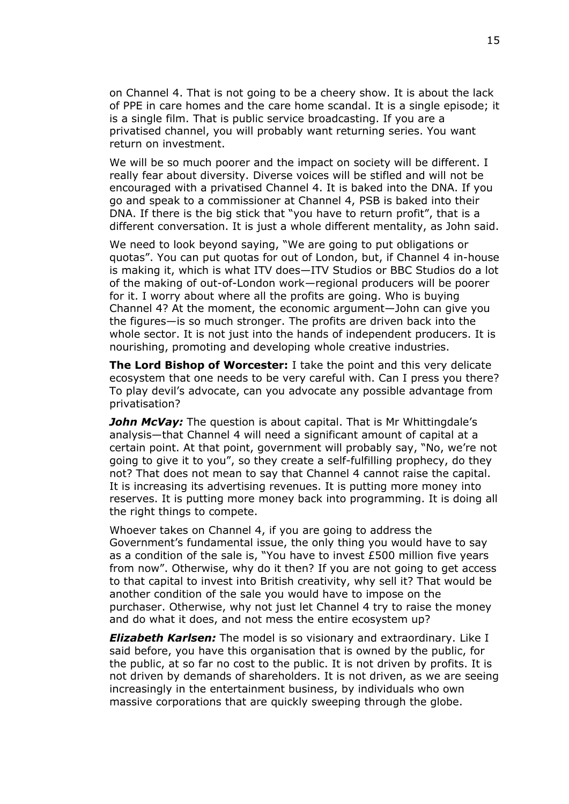on Channel 4. That is not going to be a cheery show. It is about the lack of PPE in care homes and the care home scandal. It is a single episode; it is a single film. That is public service broadcasting. If you are a privatised channel, you will probably want returning series. You want return on investment.

We will be so much poorer and the impact on society will be different. I really fear about diversity. Diverse voices will be stifled and will not be encouraged with a privatised Channel 4. It is baked into the DNA. If you go and speak to a commissioner at Channel 4, PSB is baked into their DNA. If there is the big stick that "you have to return profit", that is a different conversation. It is just a whole different mentality, as John said.

We need to look beyond saying, "We are going to put obligations or quotas". You can put quotas for out of London, but, if Channel 4 in-house is making it, which is what ITV does—ITV Studios or BBC Studios do a lot of the making of out-of-London work—regional producers will be poorer for it. I worry about where all the profits are going. Who is buying Channel 4? At the moment, the economic argument—John can give you the figures—is so much stronger. The profits are driven back into the whole sector. It is not just into the hands of independent producers. It is nourishing, promoting and developing whole creative industries.

**The Lord Bishop of Worcester:** I take the point and this very delicate ecosystem that one needs to be very careful with. Can I press you there? To play devil's advocate, can you advocate any possible advantage from privatisation?

**John McVay:** The question is about capital. That is Mr Whittingdale's analysis—that Channel 4 will need a significant amount of capital at a certain point. At that point, government will probably say, "No, we're not going to give it to you", so they create a self-fulfilling prophecy, do they not? That does not mean to say that Channel 4 cannot raise the capital. It is increasing its advertising revenues. It is putting more money into reserves. It is putting more money back into programming. It is doing all the right things to compete.

Whoever takes on Channel 4, if you are going to address the Government's fundamental issue, the only thing you would have to say as a condition of the sale is, "You have to invest £500 million five years from now". Otherwise, why do it then? If you are not going to get access to that capital to invest into British creativity, why sell it? That would be another condition of the sale you would have to impose on the purchaser. Otherwise, why not just let Channel 4 try to raise the money and do what it does, and not mess the entire ecosystem up?

*Elizabeth Karlsen:* The model is so visionary and extraordinary. Like I said before, you have this organisation that is owned by the public, for the public, at so far no cost to the public. It is not driven by profits. It is not driven by demands of shareholders. It is not driven, as we are seeing increasingly in the entertainment business, by individuals who own massive corporations that are quickly sweeping through the globe.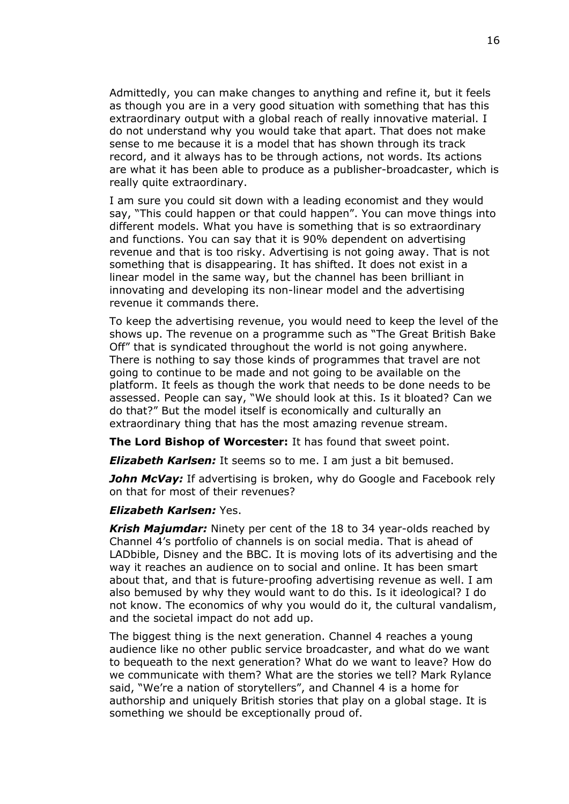Admittedly, you can make changes to anything and refine it, but it feels as though you are in a very good situation with something that has this extraordinary output with a global reach of really innovative material. I do not understand why you would take that apart. That does not make sense to me because it is a model that has shown through its track record, and it always has to be through actions, not words. Its actions are what it has been able to produce as a publisher-broadcaster, which is really quite extraordinary.

I am sure you could sit down with a leading economist and they would say, "This could happen or that could happen". You can move things into different models. What you have is something that is so extraordinary and functions. You can say that it is 90% dependent on advertising revenue and that is too risky. Advertising is not going away. That is not something that is disappearing. It has shifted. It does not exist in a linear model in the same way, but the channel has been brilliant in innovating and developing its non-linear model and the advertising revenue it commands there.

To keep the advertising revenue, you would need to keep the level of the shows up. The revenue on a programme such as "The Great British Bake Off" that is syndicated throughout the world is not going anywhere. There is nothing to say those kinds of programmes that travel are not going to continue to be made and not going to be available on the platform. It feels as though the work that needs to be done needs to be assessed. People can say, "We should look at this. Is it bloated? Can we do that?" But the model itself is economically and culturally an extraordinary thing that has the most amazing revenue stream.

**The Lord Bishop of Worcester:** It has found that sweet point.

*Elizabeth Karlsen:* It seems so to me. I am just a bit bemused.

*John McVay:* If advertising is broken, why do Google and Facebook rely on that for most of their revenues?

## *Elizabeth Karlsen:* Yes.

*Krish Majumdar:* Ninety per cent of the 18 to 34 year-olds reached by Channel 4's portfolio of channels is on social media. That is ahead of LADbible, Disney and the BBC. It is moving lots of its advertising and the way it reaches an audience on to social and online. It has been smart about that, and that is future-proofing advertising revenue as well. I am also bemused by why they would want to do this. Is it ideological? I do not know. The economics of why you would do it, the cultural vandalism, and the societal impact do not add up.

The biggest thing is the next generation. Channel 4 reaches a young audience like no other public service broadcaster, and what do we want to bequeath to the next generation? What do we want to leave? How do we communicate with them? What are the stories we tell? Mark Rylance said, "We're a nation of storytellers", and Channel 4 is a home for authorship and uniquely British stories that play on a global stage. It is something we should be exceptionally proud of.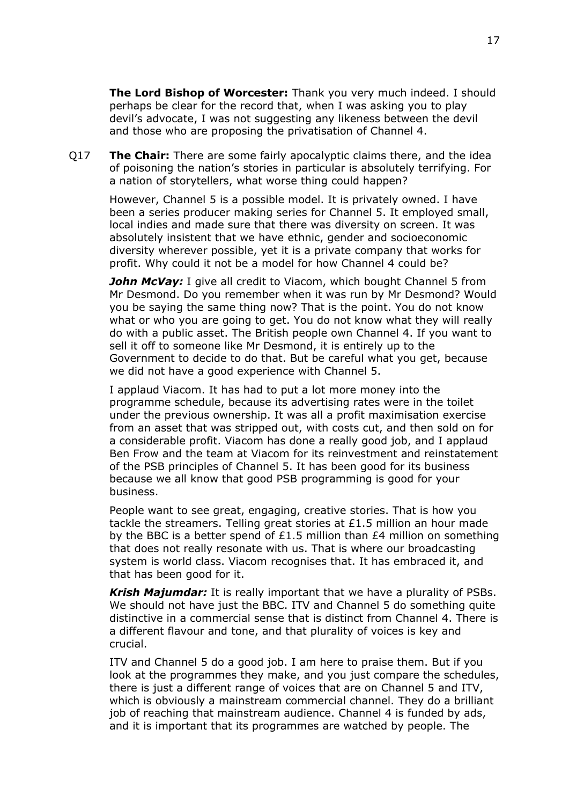**The Lord Bishop of Worcester:** Thank you very much indeed. I should perhaps be clear for the record that, when I was asking you to play devil's advocate, I was not suggesting any likeness between the devil and those who are proposing the privatisation of Channel 4.

Q17 **The Chair:** There are some fairly apocalyptic claims there, and the idea of poisoning the nation's stories in particular is absolutely terrifying. For a nation of storytellers, what worse thing could happen?

However, Channel 5 is a possible model. It is privately owned. I have been a series producer making series for Channel 5. It employed small, local indies and made sure that there was diversity on screen. It was absolutely insistent that we have ethnic, gender and socioeconomic diversity wherever possible, yet it is a private company that works for profit. Why could it not be a model for how Channel 4 could be?

*John McVay:* I give all credit to Viacom, which bought Channel 5 from Mr Desmond. Do you remember when it was run by Mr Desmond? Would you be saying the same thing now? That is the point. You do not know what or who you are going to get. You do not know what they will really do with a public asset. The British people own Channel 4. If you want to sell it off to someone like Mr Desmond, it is entirely up to the Government to decide to do that. But be careful what you get, because we did not have a good experience with Channel 5.

I applaud Viacom. It has had to put a lot more money into the programme schedule, because its advertising rates were in the toilet under the previous ownership. It was all a profit maximisation exercise from an asset that was stripped out, with costs cut, and then sold on for a considerable profit. Viacom has done a really good job, and I applaud Ben Frow and the team at Viacom for its reinvestment and reinstatement of the PSB principles of Channel 5. It has been good for its business because we all know that good PSB programming is good for your business.

People want to see great, engaging, creative stories. That is how you tackle the streamers. Telling great stories at £1.5 million an hour made by the BBC is a better spend of £1.5 million than £4 million on something that does not really resonate with us. That is where our broadcasting system is world class. Viacom recognises that. It has embraced it, and that has been good for it.

*Krish Majumdar:* It is really important that we have a plurality of PSBs. We should not have just the BBC. ITV and Channel 5 do something quite distinctive in a commercial sense that is distinct from Channel 4. There is a different flavour and tone, and that plurality of voices is key and crucial.

ITV and Channel 5 do a good job. I am here to praise them. But if you look at the programmes they make, and you just compare the schedules, there is just a different range of voices that are on Channel 5 and ITV, which is obviously a mainstream commercial channel. They do a brilliant job of reaching that mainstream audience. Channel 4 is funded by ads, and it is important that its programmes are watched by people. The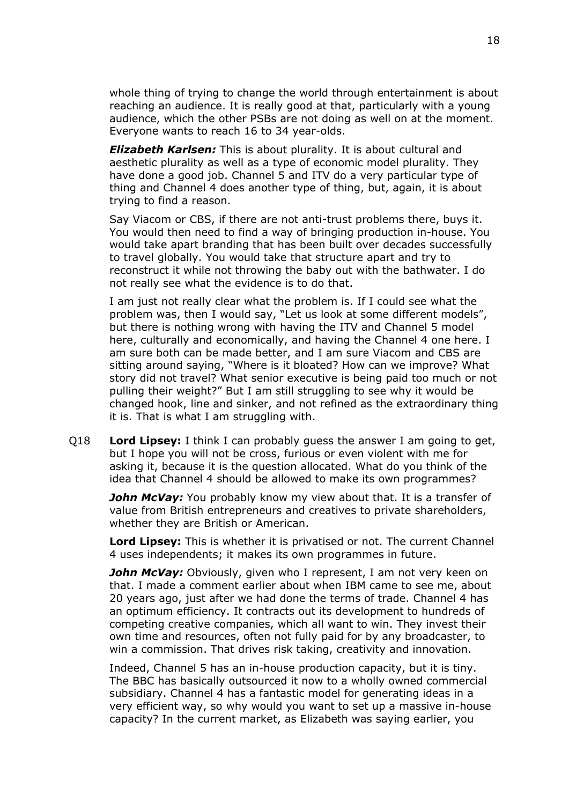whole thing of trying to change the world through entertainment is about reaching an audience. It is really good at that, particularly with a young audience, which the other PSBs are not doing as well on at the moment. Everyone wants to reach 16 to 34 year-olds.

*Elizabeth Karlsen:* This is about plurality. It is about cultural and aesthetic plurality as well as a type of economic model plurality. They have done a good job. Channel 5 and ITV do a very particular type of thing and Channel 4 does another type of thing, but, again, it is about trying to find a reason.

Say Viacom or CBS, if there are not anti-trust problems there, buys it. You would then need to find a way of bringing production in-house. You would take apart branding that has been built over decades successfully to travel globally. You would take that structure apart and try to reconstruct it while not throwing the baby out with the bathwater. I do not really see what the evidence is to do that.

I am just not really clear what the problem is. If I could see what the problem was, then I would say, "Let us look at some different models", but there is nothing wrong with having the ITV and Channel 5 model here, culturally and economically, and having the Channel 4 one here. I am sure both can be made better, and I am sure Viacom and CBS are sitting around saying, "Where is it bloated? How can we improve? What story did not travel? What senior executive is being paid too much or not pulling their weight?" But I am still struggling to see why it would be changed hook, line and sinker, and not refined as the extraordinary thing it is. That is what I am struggling with.

Q18 **Lord Lipsey:** I think I can probably guess the answer I am going to get, but I hope you will not be cross, furious or even violent with me for asking it, because it is the question allocated. What do you think of the idea that Channel 4 should be allowed to make its own programmes?

*John McVay:* You probably know my view about that. It is a transfer of value from British entrepreneurs and creatives to private shareholders, whether they are British or American.

**Lord Lipsey:** This is whether it is privatised or not. The current Channel 4 uses independents; it makes its own programmes in future.

*John McVay:* Obviously, given who I represent, I am not very keen on that. I made a comment earlier about when IBM came to see me, about 20 years ago, just after we had done the terms of trade. Channel 4 has an optimum efficiency. It contracts out its development to hundreds of competing creative companies, which all want to win. They invest their own time and resources, often not fully paid for by any broadcaster, to win a commission. That drives risk taking, creativity and innovation.

Indeed, Channel 5 has an in-house production capacity, but it is tiny. The BBC has basically outsourced it now to a wholly owned commercial subsidiary. Channel 4 has a fantastic model for generating ideas in a very efficient way, so why would you want to set up a massive in-house capacity? In the current market, as Elizabeth was saying earlier, you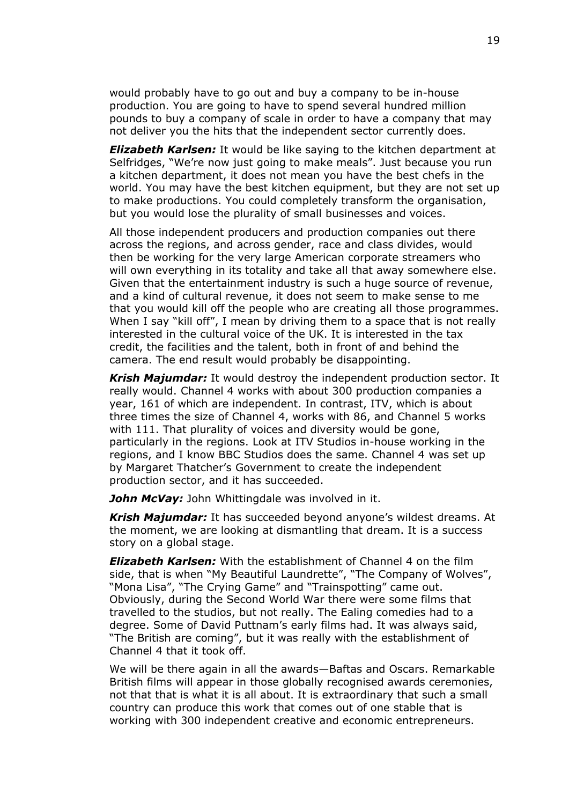would probably have to go out and buy a company to be in-house production. You are going to have to spend several hundred million pounds to buy a company of scale in order to have a company that may not deliver you the hits that the independent sector currently does.

*Elizabeth Karlsen:* It would be like saying to the kitchen department at Selfridges, "We're now just going to make meals". Just because you run a kitchen department, it does not mean you have the best chefs in the world. You may have the best kitchen equipment, but they are not set up to make productions. You could completely transform the organisation, but you would lose the plurality of small businesses and voices.

All those independent producers and production companies out there across the regions, and across gender, race and class divides, would then be working for the very large American corporate streamers who will own everything in its totality and take all that away somewhere else. Given that the entertainment industry is such a huge source of revenue, and a kind of cultural revenue, it does not seem to make sense to me that you would kill off the people who are creating all those programmes. When I say "kill off", I mean by driving them to a space that is not really interested in the cultural voice of the UK. It is interested in the tax credit, the facilities and the talent, both in front of and behind the camera. The end result would probably be disappointing.

*Krish Majumdar:* It would destroy the independent production sector. It really would. Channel 4 works with about 300 production companies a year, 161 of which are independent. In contrast, ITV, which is about three times the size of Channel 4, works with 86, and Channel 5 works with 111. That plurality of voices and diversity would be gone, particularly in the regions. Look at ITV Studios in-house working in the regions, and I know BBC Studios does the same. Channel 4 was set up by Margaret Thatcher's Government to create the independent production sector, and it has succeeded.

*John McVay:* John Whittingdale was involved in it.

*Krish Majumdar:* It has succeeded beyond anyone's wildest dreams. At the moment, we are looking at dismantling that dream. It is a success story on a global stage.

*Elizabeth Karlsen:* With the establishment of Channel 4 on the film side, that is when "My Beautiful Laundrette", "The Company of Wolves", "Mona Lisa", "The Crying Game" and "Trainspotting" came out. Obviously, during the Second World War there were some films that travelled to the studios, but not really. The Ealing comedies had to a degree. Some of David Puttnam's early films had. It was always said, "The British are coming", but it was really with the establishment of Channel 4 that it took off.

We will be there again in all the awards—Baftas and Oscars. Remarkable British films will appear in those globally recognised awards ceremonies, not that that is what it is all about. It is extraordinary that such a small country can produce this work that comes out of one stable that is working with 300 independent creative and economic entrepreneurs.